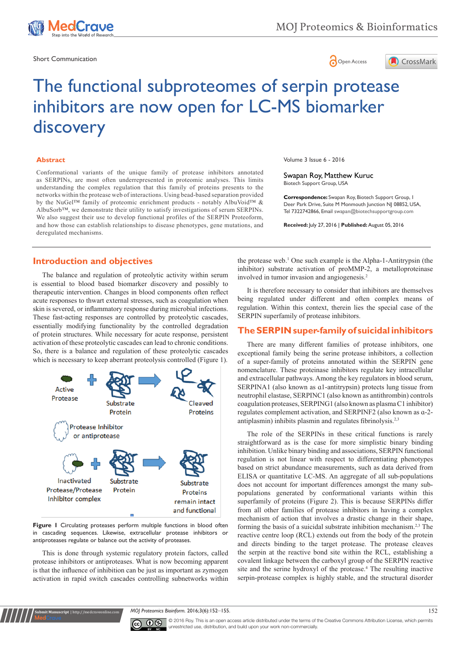

Short Communication and the state of the state of the state of the Short Communication and the Short Communication





# The functional subproteomes of serpin protease inhibitors are now open for LC-MS biomarker discovery

#### **Abstract**

Conformational variants of the unique family of protease inhibitors annotated as SERPINs, are most often underrepresented in proteomic analyses. This limits understanding the complex regulation that this family of proteins presents to the networks within the protease web of interactions. Using bead-based separation provided by the NuGel™ family of proteomic enrichment products - notably AlbuVoid™ & AlbuSorb™, we demonstrate their utility to satisfy investigations of serum SERPINs. We also suggest their use to develop functional profiles of the SERPIN Proteoform, and how those can establish relationships to disease phenotypes, gene mutations, and deregulated mechanisms.

#### **Introduction and objectives**

The balance and regulation of proteolytic activity within serum is essential to blood based biomarker discovery and possibly to therapeutic intervention. Changes in blood components often reflect acute responses to thwart external stresses, such as coagulation when skin is severed, or inflammatory response during microbial infections. These fast-acting responses are controlled by proteolytic cascades, essentially modifying functionality by the controlled degradation of protein structures. While necessary for acute response, persistent activation of these proteolytic cascades can lead to chronic conditions. So, there is a balance and regulation of these proteolytic cascades which is necessary to keep aberrant proteolysis controlled (Figure 1).



Figure 1 Circulating proteases perform multiple functions in blood often in cascading sequences. Likewise, extracellular protease inhibitors or antiproteases regulate or balance out the activity of proteases.

This is done through systemic regulatory protein factors, called protease inhibitors or antiproteases. What is now becoming apparent is that the influence of inhibition can be just as important as zymogen activation in rapid switch cascades controlling subnetworks within

**it Manuscript** | http://medcraveonlin

Volume 3 Issue 6 - 2016

Swapan Roy, Matthew Kuruc Biotech Support Group, USA

**Correspondence:** Swapan Roy, Biotech Support Group, 1 Deer Park Drive, Suite M Monmouth Junction NJ 08852, USA, Tel 7322742866, Email swapan@biotechsupportgroup.com

**Received:** July 27, 2016 | **Published:** August 05, 2016

the protease web.1 One such example is the Alpha-1-Antitrypsin (the inhibitor) substrate activation of proMMP-2, a metalloproteinase involved in tumor invasion and angiogenesis.2

It is therefore necessary to consider that inhibitors are themselves being regulated under different and often complex means of regulation. Within this context, therein lies the special case of the SERPIN superfamily of protease inhibitors.

### **The SERPIN super-family of suicidal inhibitors**

There are many different families of protease inhibitors, one exceptional family being the serine protease inhibitors, a collection of a super-family of proteins annotated within the SERPIN gene nomenclature. These proteinase inhibitors regulate key intracellular and extracellular pathways. Among the key regulators in blood serum, SERPINA1 (also known as ɑ1-antitrypsin) protects lung tissue from neutrophil elastase, SERPINC1 (also known as antithrombin) controls coagulation proteases, SERPING1 (also known as plasma C1 inhibitor) regulates complement activation, and SERPINF2 (also known as ɑ-2 antiplasmin) inhibits plasmin and regulates fibrinolysis.2,3

The role of the SERPINs in these critical functions is rarely straightforward as is the case for more simplistic binary binding inhibition. Unlike binary binding and associations, SERPIN functional regulation is not linear with respect to differentiating phenotypes based on strict abundance measurements, such as data derived from ELISA or quantitative LC-MS. An aggregate of all sub-populations does not account for important differences amongst the many subpopulations generated by conformational variants within this superfamily of proteins (Figure 2). This is because SERPINs differ from all other families of protease inhibitors in having a complex mechanism of action that involves a drastic change in their shape, forming the basis of a suicidal substrate inhibition mechanism.2,3 The reactive centre loop (RCL) extends out from the body of the protein and directs binding to the target protease. The protease cleaves the serpin at the reactive bond site within the RCL, establishing a covalent linkage between the carboxyl group of the SERPIN reactive site and the serine hydroxyl of the protease.<sup>4</sup> The resulting inactive serpin-protease complex is highly stable, and the structural disorder

*MOJ Proteomics Bioinform.* 2016;3(6):152–155. 152–155.



© 2016 Roy. This is an open access article distributed under the terms of the [Creative Commons Attribution License,](https://creativecommons.org/licenses/by-nc/4.0/) which permits unrestricted use, distribution, and build upon your work non-commercially.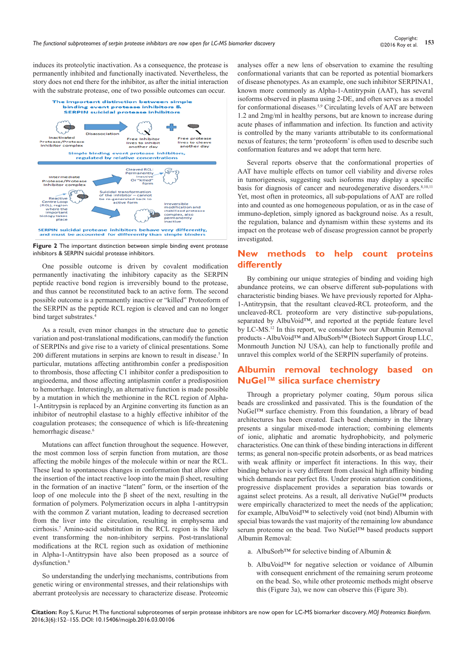induces its proteolytic inactivation. As a consequence, the protease is permanently inhibited and functionally inactivated. Nevertheless, the story does not end there for the inhibitor, as after the initial interaction with the substrate protease, one of two possible outcomes can occur.





One possible outcome is driven by covalent modification permanently inactivating the inhibitory capacity as the SERPIN peptide reactive bond region is irreversibly bound to the protease, and thus cannot be reconstituted back to an active form. The second possible outcome is a permanently inactive or "killed" Proteoform of the SERPIN as the peptide RCL region is cleaved and can no longer bind target substrates.<sup>4</sup>

As a result, even minor changes in the structure due to genetic variation and post-translational modifications, can modify the function of SERPINs and give rise to a variety of clinical presentations. Some 200 different mutations in serpins are known to result in disease.<sup>5</sup> In particular, mutations affecting antithrombin confer a predisposition to thrombosis, those affecting C1 inhibitor confer a predisposition to angioedema, and those affecting antiplasmin confer a predisposition to hemorrhage. Interestingly, an alternative function is made possible by a mutation in which the methionine in the RCL region of Alpha-1-Antitrypsin is replaced by an Arginine converting its function as an inhibitor of neutrophil elastase to a highly effective inhibitor of the coagulation proteases; the consequence of which is life-threatening hemorrhagic disease.<sup>6</sup>

Mutations can affect function throughout the sequence. However, the most common loss of serpin function from mutation, are those affecting the mobile hinges of the molecule within or near the RCL. These lead to spontaneous changes in conformation that allow either the insertion of the intact reactive loop into the main β sheet, resulting in the formation of an inactive "latent" form, or the insertion of the loop of one molecule into the β sheet of the next, resulting in the formation of polymers. Polymerization occurs in alpha 1-antitrypsin with the common Z variant mutation, leading to decreased secretion from the liver into the circulation, resulting in emphysema and cirrhosis.7 Amino-acid substitution in the RCL region is the likely event transforming the non-inhibitory serpins. Post-translational modifications at the RCL region such as oxidation of methionine in Alpha-1-Antitrypsin have also been proposed as a source of dysfunction.<sup>8</sup>

So understanding the underlying mechanisms, contributions from genetic wiring or environmental stresses, and their relationships with aberrant proteolysis are necessary to characterize disease. Proteomic

analyses offer a new lens of observation to examine the resulting conformational variants that can be reported as potential biomarkers of disease phenotypes. As an example, one such inhibitor SERPINA1, known more commonly as Alpha-1-Antitrypsin (AAT), has several isoforms observed in plasma using 2-DE, and often serves as a model for conformational diseases.<sup>5,9</sup> Circulating levels of AAT are between 1.2 and 2mg/ml in healthy persons, but are known to increase during acute phases of inflammation and infection. Its function and activity is controlled by the many variants attributable to its conformational nexus of features; the term 'proteoform' is often used to describe such conformation features and we adopt that term here.

Several reports observe that the conformational properties of AAT have multiple effects on tumor cell viability and diverse roles in tumorigenesis, suggesting such isoforms may display a specific basis for diagnosis of cancer and neurodegenerative disorders.<sup>8,10,11</sup> Yet, most often in proteomics, all sub-populations of AAT are rolled into and counted as one homogeneous population, or as in the case of immuno-depletion, simply ignored as background noise. As a result, the regulation, balance and dynamism within these systems and its impact on the protease web of disease progression cannot be properly investigated.

## **New methods to help count proteins differently**

By combining our unique strategies of binding and voiding high abundance proteins, we can observe different sub-populations with characteristic binding biases. We have previously reported for Alpha-1-Antitrypsin, that the resultant cleaved-RCL proteoform, and the uncleaved-RCL proteoform are very distinctive sub-populations, separated by AlbuVoid™, and reported at the peptide feature level by LC-MS.12 In this report, we consider how our Albumin Removal products - AlbuVoid™ and AlbuSorb™ (Biotech Support Group LLC, Monmouth Junction NJ USA), can help to functionally profile and unravel this complex world of the SERPIN superfamily of proteins.

## **Albumin removal technology based on NuGel™ silica surface chemistry**

Through a proprietary polymer coating, 50µm porous silica beads are crosslinked and passivated. This is the foundation of the NuGel™ surface chemistry. From this foundation, a library of bead architectures has been created. Each bead chemistry in the library presents a singular mixed-mode interaction; combining elements of ionic, aliphatic and aromatic hydrophobicity, and polymeric characteristics. One can think of these binding interactions in different terms; as general non-specific protein adsorbents, or as bead matrices with weak affinity or imperfect fit interactions. In this way, their binding behavior is very different from classical high affinity binding which demands near perfect fits. Under protein saturation conditions, progressive displacement provides a separation bias towards or against select proteins. As a result, all derivative NuGel™ products were empirically characterized to meet the needs of the application; for example, AlbuVoid™ to selectively void (not bind) Albumin with special bias towards the vast majority of the remaining low abundance serum proteome on the bead. Two NuGel™ based products support Albumin Removal:

- a. AlbuSorb™ for selective binding of Albumin &
- b. AlbuVoid™ for negative selection or voidance of Albumin with consequent enrichment of the remaining serum proteome on the bead. So, while other proteomic methods might observe this (Figure 3a), we now can observe this (Figure 3b).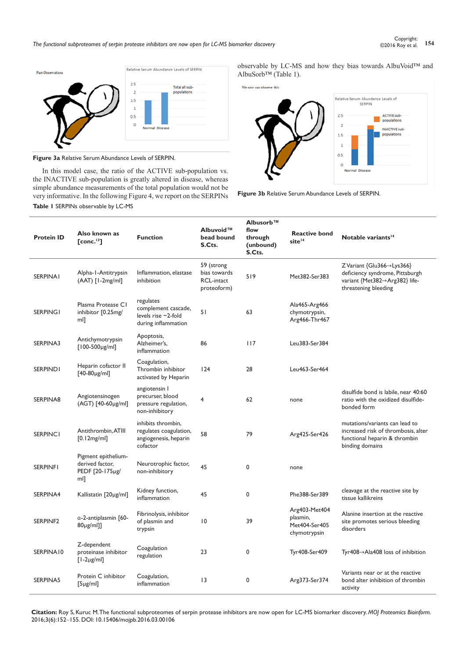*The functional subproteomes of serpin protease inhibitors are now open for LC-MS biomarker discovery* **<sup>154</sup>** Copyright:



**Figure 3a** Relative Serum Abundance Levels of SERPIN.

In this model case, the ratio of the ACTIVE sub-population vs. the INACTIVE sub-population is greatly altered in disease, whereas simple abundance measurements of the total population would not be very informative. In the following Figure 4, we report on the SERPINs **Table 1** SERPINs observable by LC-MS

observable by LC-MS and how they bias towards AlbuVoid™ and AlbuSorb™ (Table 1).





| <b>Protein ID</b> | Also known as<br>T conc. <sup>13</sup>                           | <b>Function</b>                                                                      | Albuvoid™<br>bead bound<br>S.Cts.                              | Albusorb™<br>flow<br>through<br>(unbound)<br>S.Cts. | <b>Reactive bond</b><br>site <sup>14</sup>                 | Notable variants <sup>14</sup>                                                                                                        |
|-------------------|------------------------------------------------------------------|--------------------------------------------------------------------------------------|----------------------------------------------------------------|-----------------------------------------------------|------------------------------------------------------------|---------------------------------------------------------------------------------------------------------------------------------------|
| <b>SERPINAI</b>   | Alpha-1-Antitrypsin<br>(AAT) [I-2mg/ml]                          | Inflammation, elastase<br>inhibition                                                 | 59 (strong<br>bias towards<br><b>RCL-intact</b><br>proteoform) | 519                                                 | Met382-Ser383                                              | $Z$ Variant {Glu366 $\rightarrow$ Lys366}<br>deficiency syndrome, Pittsburgh<br>variant {Met382→Arg382} life-<br>threatening bleeding |
| <b>SERPING1</b>   | Plasma Protease C1<br>inhibitor [0.25mg/<br>ml]                  | regulates<br>complement cascade,<br>levels rise $\sim$ 2-fold<br>during inflammation | 51                                                             | 63                                                  | Ala465-Arg466<br>chymotrypsin,<br>Arg466-Thr467            |                                                                                                                                       |
| SERPINA3          | Antichymotrypsin<br>$[100-500 \mu g/ml]$                         | Apoptosis,<br>Alzheimer's.<br>inflammation                                           | 86                                                             | 117                                                 | Leu383-Ser384                                              |                                                                                                                                       |
| <b>SERPIND1</b>   | Heparin cofactor II<br>$[40-80\mu g/ml]$                         | Coagulation,<br>Thrombin inhibitor<br>activated by Heparin                           | 124                                                            | 28                                                  | Leu463-Ser464                                              |                                                                                                                                       |
| SERPINA8          | Angiotensinogen<br>(AGT) [40-60µg/ml]                            | angiotensin I<br>precurser, blood<br>pressure regulation,<br>non-inhibitory          | $\overline{4}$                                                 | 62                                                  | none                                                       | disulfide bond is labile, near 40:60<br>ratio with the oxidized disulfide-<br>bonded form                                             |
| <b>SERPINCI</b>   | Antithrombin, ATIII<br>[0.12mg/ml]                               | inhibits thrombin,<br>regulates coagulation,<br>angiogenesis, heparin<br>cofactor    | 58                                                             | 79                                                  | Arg425-Ser426                                              | mutations/variants can lead to<br>increased risk of thrombosis, alter<br>functional heparin & thrombin<br>binding domains             |
| <b>SERPINFI</b>   | Pigment epithelium-<br>derived factor,<br>PEDF [20-175µg/<br>ml] | Neurotrophic factor,<br>non-inhibitory                                               | 45                                                             | 0                                                   | none                                                       |                                                                                                                                       |
| SERPINA4          | Kallistatin [20µg/ml]                                            | Kidney function,<br>inflammation                                                     | 45                                                             | 0                                                   | Phe388-Ser389                                              | cleavage at the reactive site by<br>tissue kallikreins                                                                                |
| SERPINF2          | a-2-antiplasmin [60-<br>80µg/ml]]                                | Fibrinolysis, inhibitor<br>of plasmin and<br>trypsin                                 | $\overline{10}$                                                | 39                                                  | Arg403-Met404<br>plasmin,<br>Met404-Ser405<br>chymotrypsin | Alanine insertion at the reactive<br>site promotes serious bleeding<br>disorders                                                      |
| SERPINA10         | Z-dependent<br>proteinase inhibitor<br>$\lceil$ l-2µg/ml]        | Coagulation<br>regulation                                                            | 23                                                             | 0                                                   | Tyr408-Ser409                                              | Tyr408 $\rightarrow$ Ala408 loss of inhibition                                                                                        |
| SERPINA5          | Protein C inhibitor<br>$[5 \mu g/ml]$                            | Coagulation,<br>inflammation                                                         | 3                                                              | 0                                                   | Arg373-Ser374                                              | Variants near or at the reactive<br>bond alter inhibition of thrombin<br>activity                                                     |

**Citation:** Roy S, Kuruc M. The functional subproteomes of serpin protease inhibitors are now open for LC-MS biomarker discovery. *MOJ Proteomics Bioinform.* 2016;3(6):152‒155. DOI: [10.15406/mojpb.2016.03.00106](https://doi.org/10.15406/mojpb.2016.03.00106)